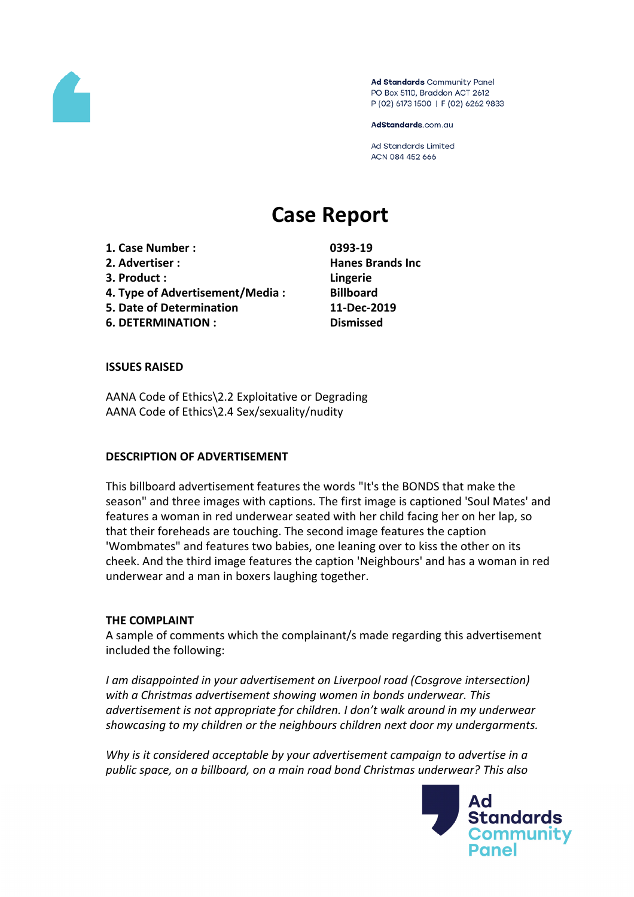

Ad Standards Community Panel PO Box 5110, Braddon ACT 2612 P (02) 6173 1500 | F (02) 6262 9833

AdStandards.com.au

**Ad Standards Limited** ACN 084 452 666

# **Case Report**

**1. Case Number : 0393-19 2. Advertiser : Hanes Brands Inc 3. Product : Lingerie 4. Type of Advertisement/Media : Billboard 5. Date of Determination 11-Dec-2019 6. DETERMINATION : Dismissed**

#### **ISSUES RAISED**

AANA Code of Ethics\2.2 Exploitative or Degrading AANA Code of Ethics\2.4 Sex/sexuality/nudity

#### **DESCRIPTION OF ADVERTISEMENT**

This billboard advertisement features the words "It's the BONDS that make the season" and three images with captions. The first image is captioned 'Soul Mates' and features a woman in red underwear seated with her child facing her on her lap, so that their foreheads are touching. The second image features the caption 'Wombmates" and features two babies, one leaning over to kiss the other on its cheek. And the third image features the caption 'Neighbours' and has a woman in red underwear and a man in boxers laughing together.

#### **THE COMPLAINT**

A sample of comments which the complainant/s made regarding this advertisement included the following:

*I am disappointed in your advertisement on Liverpool road (Cosgrove intersection) with a Christmas advertisement showing women in bonds underwear. This advertisement is not appropriate for children. I don't walk around in my underwear showcasing to my children or the neighbours children next door my undergarments.*

*Why is it considered acceptable by your advertisement campaign to advertise in a public space, on a billboard, on a main road bond Christmas underwear? This also*

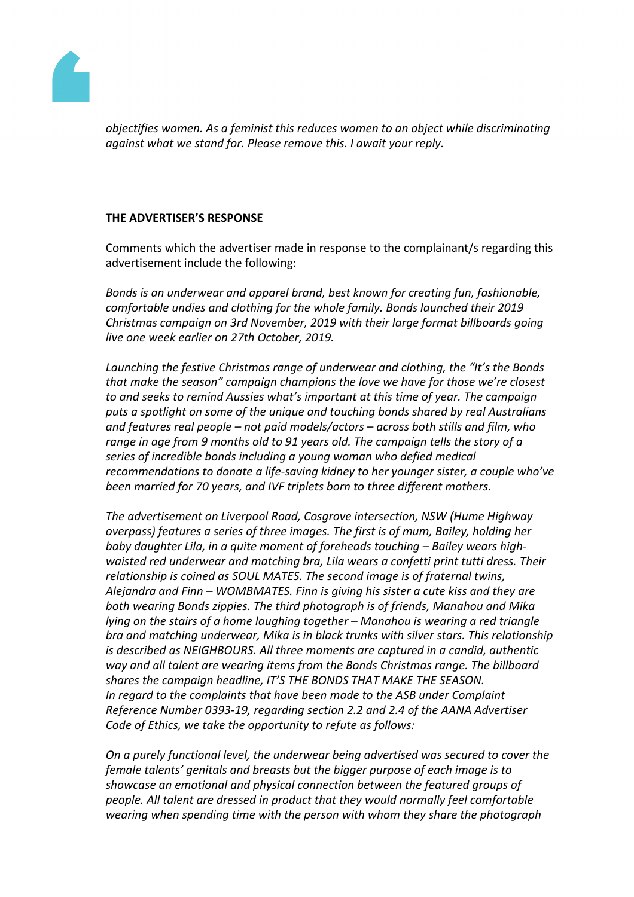

*objectifies women. As a feminist this reduces women to an object while discriminating against what we stand for. Please remove this. I await your reply.*

## **THE ADVERTISER'S RESPONSE**

Comments which the advertiser made in response to the complainant/s regarding this advertisement include the following:

*Bonds is an underwear and apparel brand, best known for creating fun, fashionable, comfortable undies and clothing for the whole family. Bonds launched their 2019 Christmas campaign on 3rd November, 2019 with their large format billboards going live one week earlier on 27th October, 2019.*

*Launching the festive Christmas range of underwear and clothing, the "It's the Bonds that make the season" campaign champions the love we have for those we're closest to and seeks to remind Aussies what's important at this time of year. The campaign puts a spotlight on some of the unique and touching bonds shared by real Australians and features real people – not paid models/actors – across both stills and film, who range in age from 9 months old to 91 years old. The campaign tells the story of a series of incredible bonds including a young woman who defied medical recommendations to donate a life-saving kidney to her younger sister, a couple who've been married for 70 years, and IVF triplets born to three different mothers.*

*The advertisement on Liverpool Road, Cosgrove intersection, NSW (Hume Highway overpass) features a series of three images. The first is of mum, Bailey, holding her baby daughter Lila, in a quite moment of foreheads touching – Bailey wears highwaisted red underwear and matching bra, Lila wears a confetti print tutti dress. Their relationship is coined as SOUL MATES. The second image is of fraternal twins, Alejandra and Finn – WOMBMATES. Finn is giving his sister a cute kiss and they are both wearing Bonds zippies. The third photograph is of friends, Manahou and Mika lying on the stairs of a home laughing together – Manahou is wearing a red triangle bra and matching underwear, Mika is in black trunks with silver stars. This relationship is described as NEIGHBOURS. All three moments are captured in a candid, authentic way and all talent are wearing items from the Bonds Christmas range. The billboard shares the campaign headline, IT'S THE BONDS THAT MAKE THE SEASON. In regard to the complaints that have been made to the ASB under Complaint Reference Number 0393-19, regarding section 2.2 and 2.4 of the AANA Advertiser Code of Ethics, we take the opportunity to refute as follows:*

*On a purely functional level, the underwear being advertised was secured to cover the female talents' genitals and breasts but the bigger purpose of each image is to showcase an emotional and physical connection between the featured groups of people. All talent are dressed in product that they would normally feel comfortable wearing when spending time with the person with whom they share the photograph*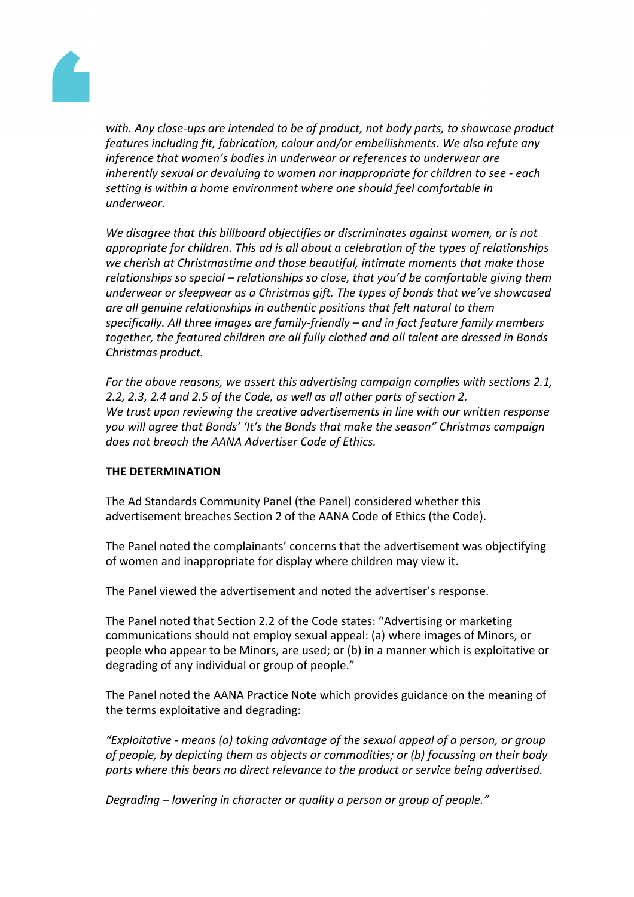

*with. Any close-ups are intended to be of product, not body parts, to showcase product features including fit, fabrication, colour and/or embellishments. We also refute any inference that women's bodies in underwear or references to underwear are inherently sexual or devaluing to women nor inappropriate for children to see - each setting is within a home environment where one should feel comfortable in underwear.*

*We disagree that this billboard objectifies or discriminates against women, or is not appropriate for children. This ad is all about a celebration of the types of relationships we cherish at Christmastime and those beautiful, intimate moments that make those relationships so special – relationships so close, that you'd be comfortable giving them underwear or sleepwear as a Christmas gift. The types of bonds that we've showcased are all genuine relationships in authentic positions that felt natural to them specifically. All three images are family-friendly – and in fact feature family members together, the featured children are all fully clothed and all talent are dressed in Bonds Christmas product.* 

*For the above reasons, we assert this advertising campaign complies with sections 2.1, 2.2, 2.3, 2.4 and 2.5 of the Code, as well as all other parts of section 2. We trust upon reviewing the creative advertisements in line with our written response you will agree that Bonds' 'It's the Bonds that make the season" Christmas campaign does not breach the AANA Advertiser Code of Ethics.*

### **THE DETERMINATION**

The Ad Standards Community Panel (the Panel) considered whether this advertisement breaches Section 2 of the AANA Code of Ethics (the Code).

The Panel noted the complainants' concerns that the advertisement was objectifying of women and inappropriate for display where children may view it.

The Panel viewed the advertisement and noted the advertiser's response.

The Panel noted that Section 2.2 of the Code states: "Advertising or marketing communications should not employ sexual appeal: (a) where images of Minors, or people who appear to be Minors, are used; or (b) in a manner which is exploitative or degrading of any individual or group of people."

The Panel noted the AANA Practice Note which provides guidance on the meaning of the terms exploitative and degrading:

*"Exploitative - means (a) taking advantage of the sexual appeal of a person, or group of people, by depicting them as objects or commodities; or (b) focussing on their body parts where this bears no direct relevance to the product or service being advertised.*

*Degrading – lowering in character or quality a person or group of people."*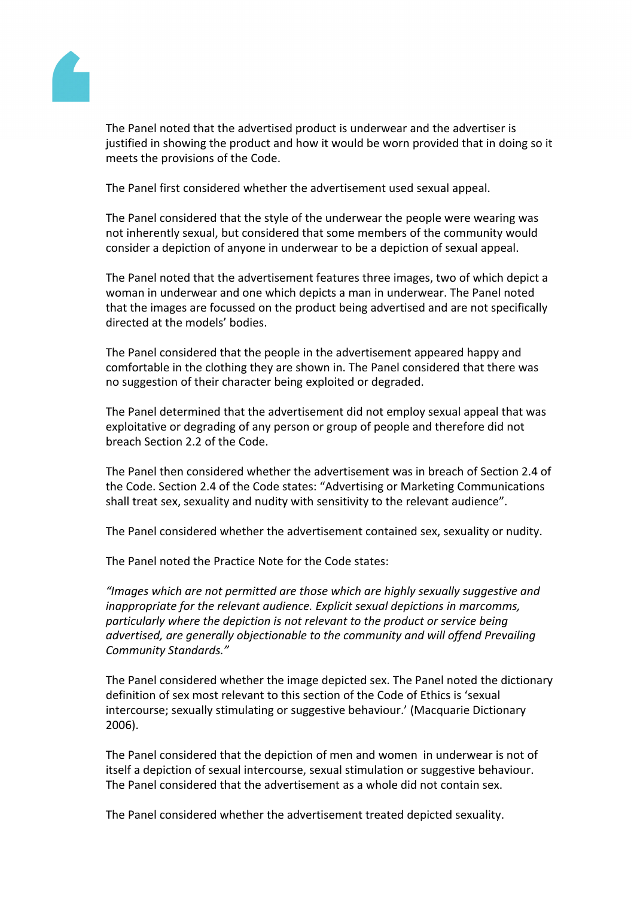

The Panel noted that the advertised product is underwear and the advertiser is justified in showing the product and how it would be worn provided that in doing so it meets the provisions of the Code.

The Panel first considered whether the advertisement used sexual appeal.

The Panel considered that the style of the underwear the people were wearing was not inherently sexual, but considered that some members of the community would consider a depiction of anyone in underwear to be a depiction of sexual appeal.

The Panel noted that the advertisement features three images, two of which depict a woman in underwear and one which depicts a man in underwear. The Panel noted that the images are focussed on the product being advertised and are not specifically directed at the models' bodies.

The Panel considered that the people in the advertisement appeared happy and comfortable in the clothing they are shown in. The Panel considered that there was no suggestion of their character being exploited or degraded.

The Panel determined that the advertisement did not employ sexual appeal that was exploitative or degrading of any person or group of people and therefore did not breach Section 2.2 of the Code.

The Panel then considered whether the advertisement was in breach of Section 2.4 of the Code. Section 2.4 of the Code states: "Advertising or Marketing Communications shall treat sex, sexuality and nudity with sensitivity to the relevant audience".

The Panel considered whether the advertisement contained sex, sexuality or nudity.

The Panel noted the Practice Note for the Code states:

*"Images which are not permitted are those which are highly sexually suggestive and inappropriate for the relevant audience. Explicit sexual depictions in marcomms, particularly where the depiction is not relevant to the product or service being advertised, are generally objectionable to the community and will offend Prevailing Community Standards."*

The Panel considered whether the image depicted sex. The Panel noted the dictionary definition of sex most relevant to this section of the Code of Ethics is 'sexual intercourse; sexually stimulating or suggestive behaviour.' (Macquarie Dictionary 2006).

The Panel considered that the depiction of men and women in underwear is not of itself a depiction of sexual intercourse, sexual stimulation or suggestive behaviour. The Panel considered that the advertisement as a whole did not contain sex.

The Panel considered whether the advertisement treated depicted sexuality.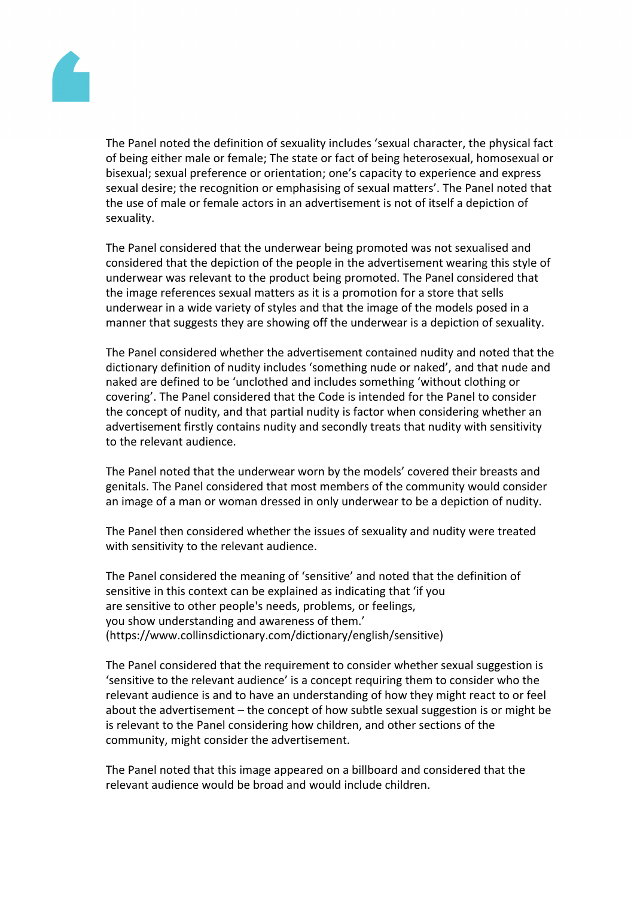

The Panel noted the definition of sexuality includes 'sexual character, the physical fact of being either male or female; The state or fact of being heterosexual, homosexual or bisexual; sexual preference or orientation; one's capacity to experience and express sexual desire; the recognition or emphasising of sexual matters'. The Panel noted that the use of male or female actors in an advertisement is not of itself a depiction of sexuality.

The Panel considered that the underwear being promoted was not sexualised and considered that the depiction of the people in the advertisement wearing this style of underwear was relevant to the product being promoted. The Panel considered that the image references sexual matters as it is a promotion for a store that sells underwear in a wide variety of styles and that the image of the models posed in a manner that suggests they are showing off the underwear is a depiction of sexuality.

The Panel considered whether the advertisement contained nudity and noted that the dictionary definition of nudity includes 'something nude or naked', and that nude and naked are defined to be 'unclothed and includes something 'without clothing or covering'. The Panel considered that the Code is intended for the Panel to consider the concept of nudity, and that partial nudity is factor when considering whether an advertisement firstly contains nudity and secondly treats that nudity with sensitivity to the relevant audience.

The Panel noted that the underwear worn by the models' covered their breasts and genitals. The Panel considered that most members of the community would consider an image of a man or woman dressed in only underwear to be a depiction of nudity.

The Panel then considered whether the issues of sexuality and nudity were treated with sensitivity to the relevant audience.

The Panel considered the meaning of 'sensitive' and noted that the definition of sensitive in this context can be explained as indicating that 'if you are sensitive to other people's needs, problems, or feelings, you show understanding and awareness of them.' (https://www.collinsdictionary.com/dictionary/english/sensitive)

The Panel considered that the requirement to consider whether sexual suggestion is 'sensitive to the relevant audience' is a concept requiring them to consider who the relevant audience is and to have an understanding of how they might react to or feel about the advertisement – the concept of how subtle sexual suggestion is or might be is relevant to the Panel considering how children, and other sections of the community, might consider the advertisement.

The Panel noted that this image appeared on a billboard and considered that the relevant audience would be broad and would include children.